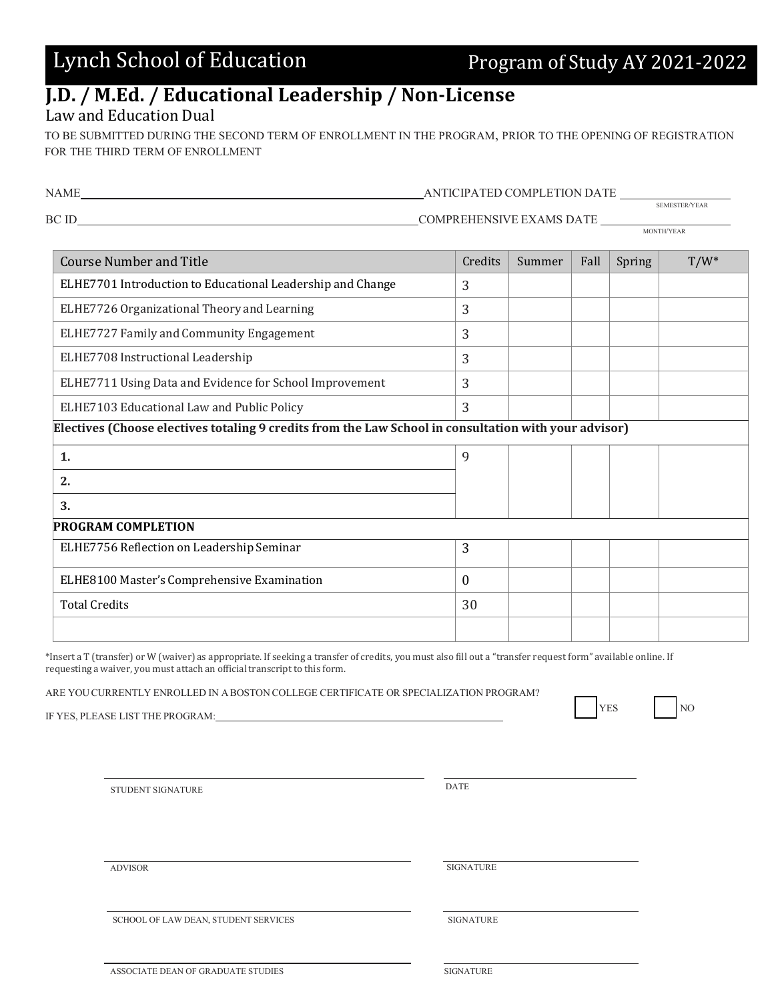## **J.D. / M.Ed. / Educational Leadership / Non-License**

## Law and Education Dual

TO BE SUBMITTED DURING THE SECOND TERM OF ENROLLMENT IN THE PROGRAM, PRIOR TO THE OPENING OF REGISTRATION FOR THE THIRD TERM OF ENROLLMENT

| NAME<br>ANTICIPATED COMPLETION DATE                                                                   |                          |        |      |        |               |  |
|-------------------------------------------------------------------------------------------------------|--------------------------|--------|------|--------|---------------|--|
| BC ID                                                                                                 | COMPREHENSIVE EXAMS DATE |        |      |        | SEMESTER/YEAR |  |
| <b>Course Number and Title</b>                                                                        | Credits                  | Summer | Fall | Spring | $T/W^*$       |  |
| ELHE7701 Introduction to Educational Leadership and Change                                            | 3                        |        |      |        |               |  |
| ELHE7726 Organizational Theory and Learning                                                           | 3                        |        |      |        |               |  |
| ELHE7727 Family and Community Engagement                                                              | 3                        |        |      |        |               |  |
| ELHE7708 Instructional Leadership                                                                     | 3                        |        |      |        |               |  |
| ELHE7711 Using Data and Evidence for School Improvement                                               | 3                        |        |      |        |               |  |
| ELHE7103 Educational Law and Public Policy                                                            | 3                        |        |      |        |               |  |
| Electives (Choose electives totaling 9 credits from the Law School in consultation with your advisor) |                          |        |      |        |               |  |
| 1.                                                                                                    | 9                        |        |      |        |               |  |
| 2.                                                                                                    |                          |        |      |        |               |  |
| 3.                                                                                                    |                          |        |      |        |               |  |
| <b>PROGRAM COMPLETION</b>                                                                             |                          |        |      |        |               |  |
| ELHE7756 Reflection on Leadership Seminar                                                             | 3                        |        |      |        |               |  |
| ELHE8100 Master's Comprehensive Examination                                                           | $\theta$                 |        |      |        |               |  |
| <b>Total Credits</b>                                                                                  | 30                       |        |      |        |               |  |
|                                                                                                       |                          |        |      |        |               |  |

\*Insert a T (transfer) or W (waiver) as appropriate. If seeking a transfer of credits, you must also fill out a "transfer request form" available online. If requesting a waiver, you must attach an official transcript to this form.

ARE YOUCURRENTLY ENROLLED IN A BOSTON COLLEGE CERTIFICATE OR SPECIALIZATION PROGRAM?

IF YES, PLEASE LIST THE PROGRAM:

STUDENT SIGNATURE DATE

ADVISOR SIGNATURE

SCHOOL OF LAW DEAN, STUDENT SERVICES SIGNATURE SIGNATURE

ASSOCIATE DEAN OF GRADUATE STUDIES SIGNATURE

YES NO